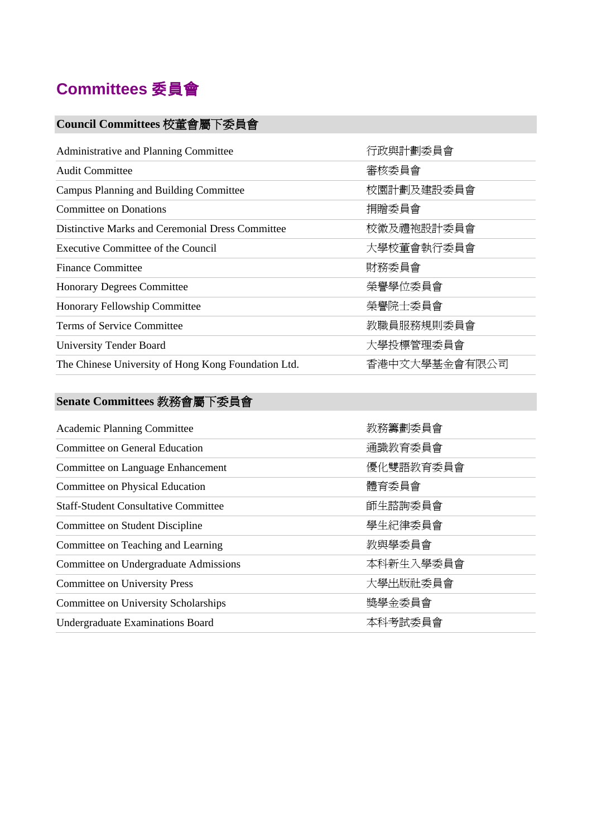

## **Council Committees** 校董會屬下委員會

| Administrative and Planning Committee               | 行政與計劃委員會      |
|-----------------------------------------------------|---------------|
| <b>Audit Committee</b>                              | 審核委員會         |
| Campus Planning and Building Committee              | 校園計劃及建設委員會    |
| Committee on Donations                              | 捐贈委員會         |
| Distinctive Marks and Ceremonial Dress Committee    | 校徽及禮袍設計委員會    |
| Executive Committee of the Council                  | 大學校董會執行委員會    |
| <b>Finance Committee</b>                            | 財務委員會         |
| <b>Honorary Degrees Committee</b>                   | 榮譽學位委員會       |
| Honorary Fellowship Committee                       | 榮譽院士委員會       |
| Terms of Service Committee                          | 教職員服務規則委員會    |
| <b>University Tender Board</b>                      | 大學投標管理委員會     |
| The Chinese University of Hong Kong Foundation Ltd. | 香港中文大學基金會有限公司 |

## **Senate Committees** 教務會屬下委員會

| <b>Academic Planning Committee</b>          | 教務籌劃委員會   |
|---------------------------------------------|-----------|
| Committee on General Education              | 通識教育委員會   |
| Committee on Language Enhancement           | 優化雙語教育委員會 |
| Committee on Physical Education             | 體育委員會     |
| <b>Staff-Student Consultative Committee</b> | 師生諮詢委員會   |
| Committee on Student Discipline             | 學生紀律委員會   |
| Committee on Teaching and Learning          | 教與學委員會    |
| Committee on Undergraduate Admissions       | 本科新生入學委員會 |
| <b>Committee on University Press</b>        | 大學出版社委員會  |
| Committee on University Scholarships        | 獎學金委員會    |
| Undergraduate Examinations Board            | 本科考試委員會   |